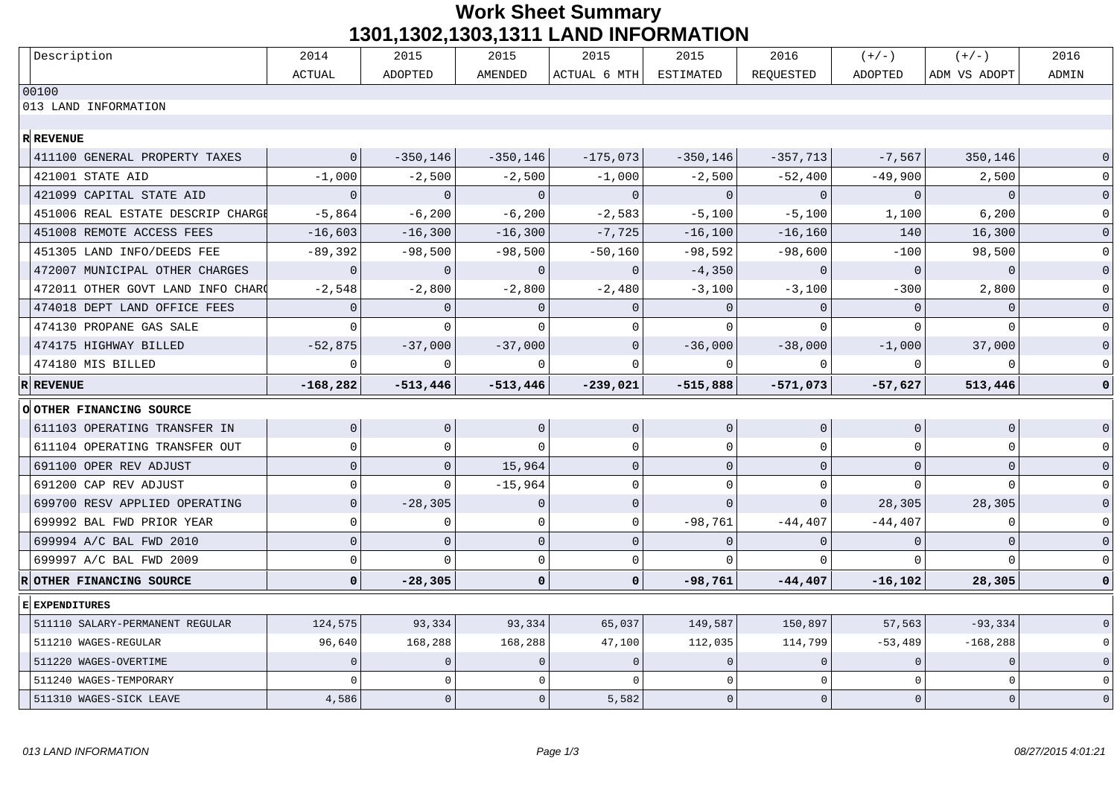## **Work Sheet Summary 1301,1302,1303,1311 LAND INFORMATION**

|   | Description                       | 2014           | 2015           | 2015           | 2015                | 2015           | 2016         | $(+/-)$        | $(+/-)$        | 2016                |
|---|-----------------------------------|----------------|----------------|----------------|---------------------|----------------|--------------|----------------|----------------|---------------------|
|   |                                   | <b>ACTUAL</b>  | <b>ADOPTED</b> | <b>AMENDED</b> | ACTUAL 6 MTH        | ESTIMATED      | REQUESTED    | ADOPTED        | ADM VS ADOPT   | ADMIN               |
|   | 00100                             |                |                |                |                     |                |              |                |                |                     |
|   | 013 LAND INFORMATION              |                |                |                |                     |                |              |                |                |                     |
|   | <b>R</b> REVENUE                  |                |                |                |                     |                |              |                |                |                     |
|   | 411100 GENERAL PROPERTY TAXES     | $\mathbf{0}$   | $-350, 146$    | $-350, 146$    | $-175,073$          | $-350,146$     | $-357,713$   | $-7,567$       | 350,146        | $\Omega$            |
|   | 421001 STATE AID                  | $-1,000$       | $-2,500$       | $-2,500$       | $-1,000$            | $-2,500$       | $-52,400$    | $-49,900$      | 2,500          |                     |
|   | 421099 CAPITAL STATE AID          | $\overline{0}$ | $\overline{0}$ | $\overline{0}$ | $\mathbf 0$         | $\mathbf{0}$   | $\mathbf 0$  | $\overline{0}$ | $\Omega$       | $\Omega$            |
|   | 451006 REAL ESTATE DESCRIP CHARGI | $-5,864$       | $-6,200$       | $-6,200$       | $-2,583$            | $-5,100$       | $-5,100$     | 1,100          | 6,200          | $\mathbf 0$         |
|   | 451008 REMOTE ACCESS FEES         | $-16,603$      | $-16,300$      | $-16,300$      | $-7,725$            | $-16,100$      | $-16, 160$   | 140            | 16,300         | $\overline{0}$      |
|   | 451305 LAND INFO/DEEDS FEE        | $-89,392$      | $-98,500$      | $-98,500$      | $-50,160$           | $-98,592$      | $-98,600$    | $-100$         | 98,500         | $\mathbf 0$         |
|   | 472007 MUNICIPAL OTHER CHARGES    | $\mathbf{0}$   | $\mathbf{0}$   | $\cap$         | $\Omega$            | $-4,350$       | $\mathbf{0}$ | $\overline{0}$ | $\Omega$       | $\overline{0}$      |
|   | 472011 OTHER GOVT LAND INFO CHARO | $-2,548$       | $-2,800$       | $-2,800$       | $-2,480$            | $-3,100$       | $-3,100$     | $-300$         | 2,800          | $\mathbf 0$         |
|   | 474018 DEPT LAND OFFICE FEES      | $\Omega$       | $\mathbf{0}$   | $\cap$         | $\Omega$            | $\mathbf{0}$   | $\Omega$     | $\Omega$       | $\Omega$       | $\overline{0}$      |
|   | 474130 PROPANE GAS SALE           |                | $\Omega$       | $\cap$         | $\Omega$            | $\Omega$       |              |                |                | $\mathbf 0$         |
|   | 474175 HIGHWAY BILLED             | $-52,875$      | $-37,000$      | $-37,000$      | $\mathbf 0$         | $-36,000$      | $-38,000$    | $-1,000$       | 37,000         | $\mathsf{O}$        |
|   | 474180 MIS BILLED                 | $\cap$         | $\Omega$       | $\cap$         | $\cap$              | $\Omega$       |              | $\Omega$       |                | $\mathbf 0$         |
| R | <b>REVENUE</b>                    | $-168,282$     | $-513,446$     | $-513,446$     | $-239,021$          | $-515,888$     | $-571,073$   | $-57,627$      | 513,446        | $\mathbf 0$         |
|   | <b>O OTHER FINANCING SOURCE</b>   |                |                |                |                     |                |              |                |                |                     |
|   |                                   |                |                |                |                     |                |              |                |                |                     |
|   | 611103 OPERATING TRANSFER IN      | $\overline{0}$ | $\overline{0}$ | $\mathbf{0}$   | $\mathsf{O}\xspace$ | $\overline{0}$ | $\mathbf{0}$ | $\mathbf{0}$   | $\overline{0}$ | $\overline{0}$      |
|   | 611104 OPERATING TRANSFER OUT     | $\Omega$       | $\mathbf 0$    | $\cap$         | $\mathbf 0$         | $\mathbf 0$    | O            | $\Omega$       | $\Omega$       | $\mathbf 0$         |
|   | 691100 OPER REV ADJUST            | $\overline{0}$ | $\Omega$       | 15,964         | $\Omega$            | $\mathbf{0}$   | $\Omega$     | $\Omega$       | $\Omega$       | $\overline{0}$      |
|   | 691200 CAP REV ADJUST             | $\Omega$       | $\cap$         | $-15,964$      | $\Omega$            | $\Omega$       | U            |                |                | $\Omega$            |
|   | 699700 RESV APPLIED OPERATING     | $\Omega$       | $-28,305$      | $\Omega$       | $\mathbf{0}$        | $\Omega$       | $\Omega$     | 28,305         | 28,305         | $\Omega$            |
|   | 699992 BAL FWD PRIOR YEAR         | $\Omega$       | 0              | $\Omega$       | $\mathbf 0$         | $-98,761$      | $-44,407$    | $-44,407$      | $\Omega$       | $\mathbf 0$         |
|   | 699994 A/C BAL FWD 2010           | $\Omega$       | $\mathbf{0}$   | $\mathbf{0}$   | $\overline{0}$      | $\mathbf{0}$   | O            | $\Omega$       | $\Omega$       | $\overline{0}$      |
|   | 699997 A/C BAL FWD 2009           | $\Omega$       | $\Omega$       | $\Omega$       | $\mathsf 0$         | $\cap$         |              |                |                | $\Omega$            |
|   | OTHER FINANCING SOURCE            | $\mathbf 0$    | $-28,305$      | $\mathbf 0$    | $\mathbf 0$         | $-98,761$      | $-44,407$    | $-16,102$      | 28,305         | $\mathbf 0$         |
|   | E EXPENDITURES                    |                |                |                |                     |                |              |                |                |                     |
|   | 511110 SALARY-PERMANENT REGULAR   | 124,575        | 93,334         | 93,334         | 65,037              | 149,587        | 150,897      | 57,563         | $-93, 334$     | $\mathbf{0}$        |
|   | 511210 WAGES-REGULAR              | 96,640         | 168,288        | 168,288        | 47,100              | 112,035        | 114,799      | $-53,489$      | $-168, 288$    | $\mathbf 0$         |
|   | 511220 WAGES-OVERTIME             | $\Omega$       | $\mathbf{0}$   | $\Omega$       | $\Omega$            | $\Omega$       | $\Omega$     | $\Omega$       | $\mathbf{0}$   | $\mathbf 0$         |
|   | 511240 WAGES-TEMPORARY            | $\cap$         | $\cap$         | $\cap$         | $\cap$              | $\Omega$       |              | $\cap$         | $\Omega$       | $\mathsf 0$         |
|   | 511310 WAGES-SICK LEAVE           | 4,586          | $\Omega$       | $\overline{0}$ | 5,582               | $\Omega$       | $\Omega$     | $\mathbf{0}$   | $\mathbf{0}$   | $\mathsf{O}\xspace$ |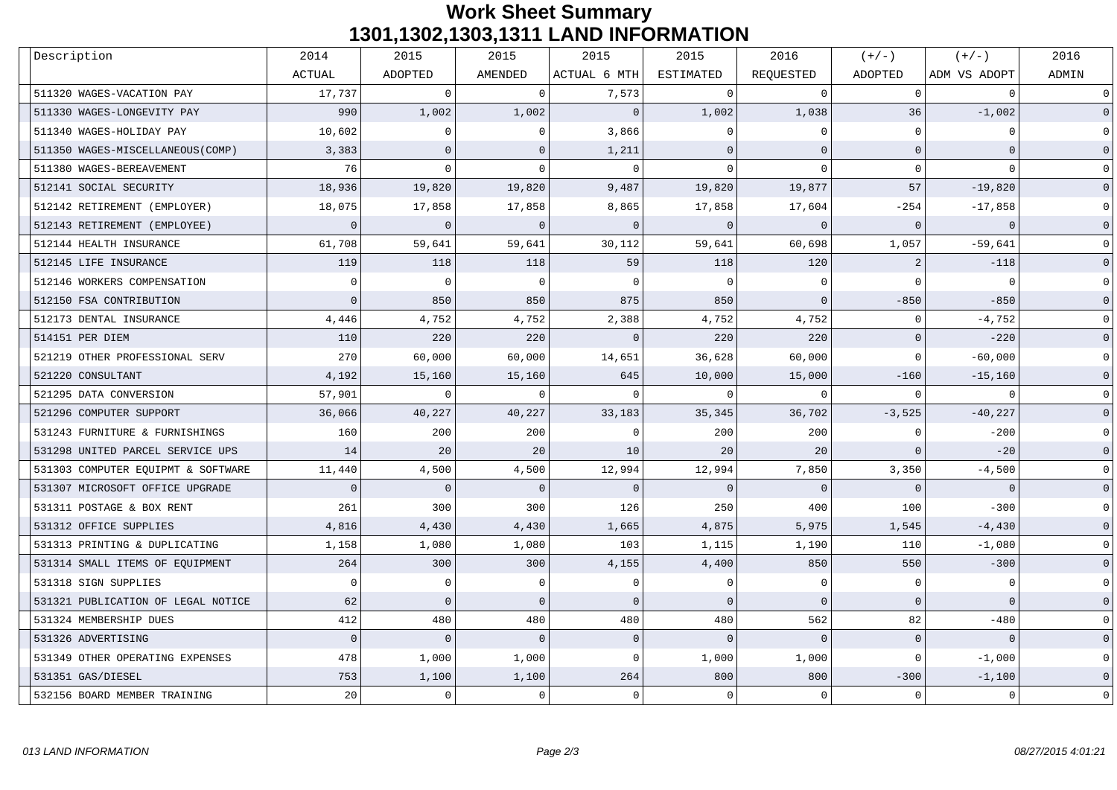## **Work Sheet Summary 1301,1302,1303,1311 LAND INFORMATION**

| Description                        | 2014           | 2015           | 2015           | 2015         | 2015             | 2016         | $(+/-)$      | $(+/-)$      | 2016         |
|------------------------------------|----------------|----------------|----------------|--------------|------------------|--------------|--------------|--------------|--------------|
|                                    | <b>ACTUAL</b>  | ADOPTED        | AMENDED        | ACTUAL 6 MTH | <b>ESTIMATED</b> | REQUESTED    | ADOPTED      | ADM VS ADOPT | ADMIN        |
| 511320 WAGES-VACATION PAY          | 17,737         | $\Omega$       | $\cap$         | 7,573        | $\Omega$         | $\Omega$     | 0            | $\cap$       | $\mathbf 0$  |
| 511330 WAGES-LONGEVITY PAY         | 990            | 1,002          | 1,002          | $\Omega$     | 1,002            | 1,038        | 36           | $-1,002$     | $\mathbf{0}$ |
| 511340 WAGES-HOLIDAY PAY           | 10,602         | $\Omega$       |                | 3,866        | $\Omega$         |              | $\Omega$     |              | $\mathbf 0$  |
| 511350 WAGES-MISCELLANEOUS (COMP)  | 3,383          | $\overline{0}$ | $\Omega$       | 1,211        | $\mathbf 0$      | $\Omega$     | $\Omega$     | $\mathbf{0}$ |              |
| 511380 WAGES-BEREAVEMENT           | 76             | $\cap$         | $\Omega$       | $\Omega$     | $\mathbf 0$      | $\Omega$     | $\Omega$     | $\cap$       |              |
| 512141 SOCIAL SECURITY             | 18,936         | 19,820         | 19,820         | 9,487        | 19,820           | 19,877       | 57           | $-19,820$    |              |
| 512142 RETIREMENT (EMPLOYER)       | 18,075         | 17,858         | 17,858         | 8,865        | 17,858           | 17,604       | $-254$       | $-17,858$    | $\Omega$     |
| 512143 RETIREMENT (EMPLOYEE)       | $\Omega$       | $\overline{0}$ | $\Omega$       | $\Omega$     | $\overline{0}$   | $\Omega$     | $\Omega$     | $\Omega$     | $\Omega$     |
| 512144 HEALTH INSURANCE            | 61,708         | 59,641         | 59,641         | 30,112       | 59,641           | 60,698       | 1,057        | $-59,641$    | $\Omega$     |
| 512145 LIFE INSURANCE              | 119            | 118            | 118            | 59           | 118              | 120          | 2            | $-118$       | $\mathbf{0}$ |
| 512146 WORKERS COMPENSATION        | $\overline{0}$ | $\overline{0}$ | $\Omega$       | $\Omega$     | $\mathbf 0$      | $\Omega$     | $\cap$       | $\Omega$     | $\mathbb O$  |
| 512150 FSA CONTRIBUTION            | $\Omega$       | 850            | 850            | 875          | 850              | $\mathbf{0}$ | $-850$       | $-850$       | $\mathbf{0}$ |
| 512173 DENTAL INSURANCE            | 4,446          | 4,752          | 4,752          | 2,388        | 4,752            | 4,752        | 0            | $-4,752$     | $\mathbf 0$  |
| 514151 PER DIEM                    | 110            | 220            | 220            | $\Omega$     | 220              | 220          | $\mathbf{0}$ | $-220$       | $\mathbf{0}$ |
| 521219 OTHER PROFESSIONAL SERV     | 270            | 60,000         | 60,000         | 14,651       | 36,628           | 60,000       | $\Omega$     | $-60,000$    | $\Omega$     |
| 521220 CONSULTANT                  | 4,192          | 15,160         | 15,160         | 645          | 10,000           | 15,000       | $-160$       | $-15,160$    | $\mathbf{0}$ |
| 521295 DATA CONVERSION             | 57,901         | $\Omega$       |                | $\Omega$     | $\Omega$         | $\cap$       | $\cap$       | $\cap$       | $\Omega$     |
| 521296 COMPUTER SUPPORT            | 36,066         | 40,227         | 40,227         | 33,183       | 35,345           | 36,702       | $-3,525$     | $-40,227$    | $\mathbf{0}$ |
| 531243 FURNITURE & FURNISHINGS     | 160            | 200            | 200            | $\Omega$     | 200              | 200          | $\Omega$     | $-200$       | $\mathbf 0$  |
| 531298 UNITED PARCEL SERVICE UPS   | 14             | 20             | 20             | 10           | 20               | 20           | $\mathbf{0}$ | $-20$        | $\Omega$     |
| 531303 COMPUTER EQUIPMT & SOFTWARE | 11,440         | 4,500          | 4,500          | 12,994       | 12,994           | 7,850        | 3,350        | $-4,500$     |              |
| 531307 MICROSOFT OFFICE UPGRADE    | $\overline{0}$ | $\overline{0}$ | $\overline{0}$ | $\Omega$     | $\overline{0}$   | $\mathbf 0$  | $\mathbf{0}$ | $\mathbf{0}$ | $\mathbf{0}$ |
| 531311 POSTAGE & BOX RENT          | 261            | 300            | 300            | 126          | 250              | 400          | 100          | $-300$       | $\Omega$     |
| 531312 OFFICE SUPPLIES             | 4,816          | 4,430          | 4,430          | 1,665        | 4,875            | 5,975        | 1,545        | $-4,430$     | $\Omega$     |
| 531313 PRINTING & DUPLICATING      | 1,158          | 1,080          | 1,080          | 103          | 1,115            | 1,190        | 110          | $-1,080$     | $\Omega$     |
| 531314 SMALL ITEMS OF EQUIPMENT    | 264            | 300            | 300            | 4,155        | 4,400            | 850          | 550          | $-300$       | $\mathbf{0}$ |
| 531318 SIGN SUPPLIES               | $\Omega$       | $\mathbf 0$    | $\Omega$       | $\Omega$     | $\mathbf 0$      | $\Omega$     | $\mathbf 0$  | $\cap$       | $\mathbf 0$  |
| 531321 PUBLICATION OF LEGAL NOTICE | 62             | $\Omega$       | $\Omega$       | $\Omega$     | $\mathbf 0$      | $\Omega$     | $\Omega$     | $\Omega$     | $\mathsf 0$  |
| 531324 MEMBERSHIP DUES             | 412            | 480            | 480            | 480          | 480              | 562          | 82           | $-480$       | $\Omega$     |
| 531326 ADVERTISING                 | $\overline{0}$ | $\overline{0}$ | $\overline{0}$ | $\mathbf{0}$ | $\circ$          | $\Omega$     | $\mathbf{0}$ | $\Omega$     | $\Omega$     |
| 531349 OTHER OPERATING EXPENSES    | 478            | 1,000          | 1,000          | $\mathbf 0$  | 1,000            | 1,000        | $\mathbf{0}$ | $-1,000$     | $\Omega$     |
| 531351 GAS/DIESEL                  | 753            | 1,100          | 1,100          | 264          | 800              | 800          | $-300$       | $-1,100$     |              |
| 532156 BOARD MEMBER TRAINING       | 20             | $\mathbf 0$    | $\cap$         | $\mathbf 0$  | $\mathbf 0$      | $\Omega$     | $\mathbf 0$  | $\Omega$     | $\Omega$     |